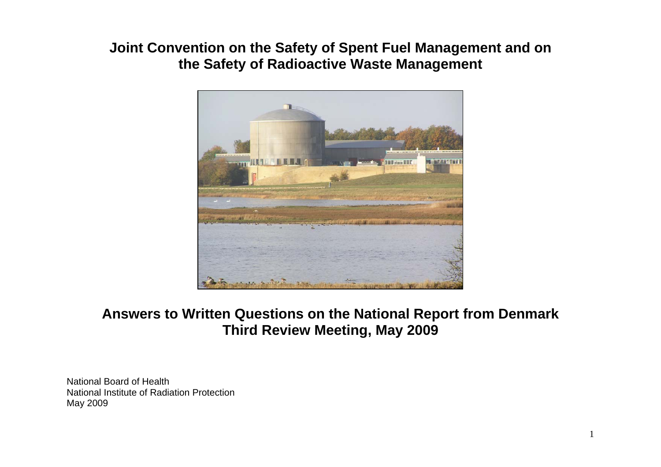## **Joint Convention on the Safety of Spent Fuel Management and on the Safety of Radioactive Waste Management**



## **Answers to Written Questions on the National Report from Denmark Third Review Meeting, May 2009**

National Board of Health National Institute of Radiation Protection May 2009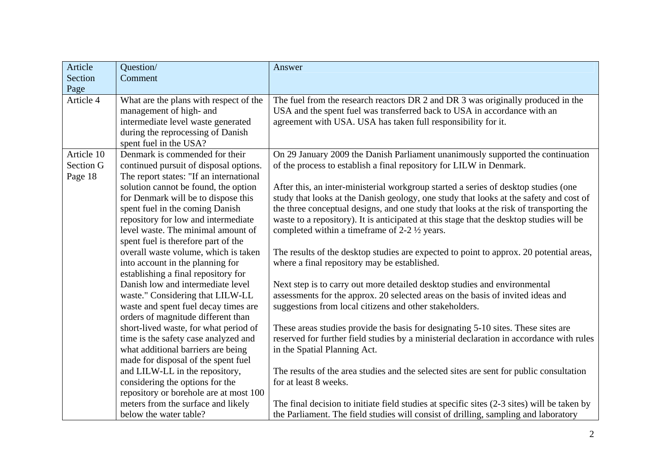| Article    | Question/                               | Answer                                                                                      |
|------------|-----------------------------------------|---------------------------------------------------------------------------------------------|
| Section    | Comment                                 |                                                                                             |
| Page       |                                         |                                                                                             |
| Article 4  | What are the plans with respect of the  | The fuel from the research reactors DR 2 and DR 3 was originally produced in the            |
|            | management of high- and                 | USA and the spent fuel was transferred back to USA in accordance with an                    |
|            | intermediate level waste generated      | agreement with USA. USA has taken full responsibility for it.                               |
|            | during the reprocessing of Danish       |                                                                                             |
|            | spent fuel in the USA?                  |                                                                                             |
| Article 10 | Denmark is commended for their          | On 29 January 2009 the Danish Parliament unanimously supported the continuation             |
| Section G  | continued pursuit of disposal options.  | of the process to establish a final repository for LILW in Denmark.                         |
| Page 18    | The report states: "If an international |                                                                                             |
|            | solution cannot be found, the option    | After this, an inter-ministerial workgroup started a series of desktop studies (one         |
|            | for Denmark will be to dispose this     | study that looks at the Danish geology, one study that looks at the safety and cost of      |
|            | spent fuel in the coming Danish         | the three conceptual designs, and one study that looks at the risk of transporting the      |
|            | repository for low and intermediate     | waste to a repository). It is anticipated at this stage that the desktop studies will be    |
|            | level waste. The minimal amount of      | completed within a timeframe of $2-2\frac{1}{2}$ years.                                     |
|            | spent fuel is therefore part of the     |                                                                                             |
|            | overall waste volume, which is taken    | The results of the desktop studies are expected to point to approx. 20 potential areas,     |
|            | into account in the planning for        | where a final repository may be established.                                                |
|            | establishing a final repository for     |                                                                                             |
|            | Danish low and intermediate level       | Next step is to carry out more detailed desktop studies and environmental                   |
|            | waste." Considering that LILW-LL        | assessments for the approx. 20 selected areas on the basis of invited ideas and             |
|            | waste and spent fuel decay times are    | suggestions from local citizens and other stakeholders.                                     |
|            | orders of magnitude different than      |                                                                                             |
|            | short-lived waste, for what period of   | These areas studies provide the basis for designating 5-10 sites. These sites are           |
|            | time is the safety case analyzed and    | reserved for further field studies by a ministerial declaration in accordance with rules    |
|            | what additional barriers are being      | in the Spatial Planning Act.                                                                |
|            | made for disposal of the spent fuel     |                                                                                             |
|            | and LILW-LL in the repository,          | The results of the area studies and the selected sites are sent for public consultation     |
|            | considering the options for the         | for at least 8 weeks.                                                                       |
|            | repository or borehole are at most 100  |                                                                                             |
|            | meters from the surface and likely      | The final decision to initiate field studies at specific sites (2-3 sites) will be taken by |
|            | below the water table?                  | the Parliament. The field studies will consist of drilling, sampling and laboratory         |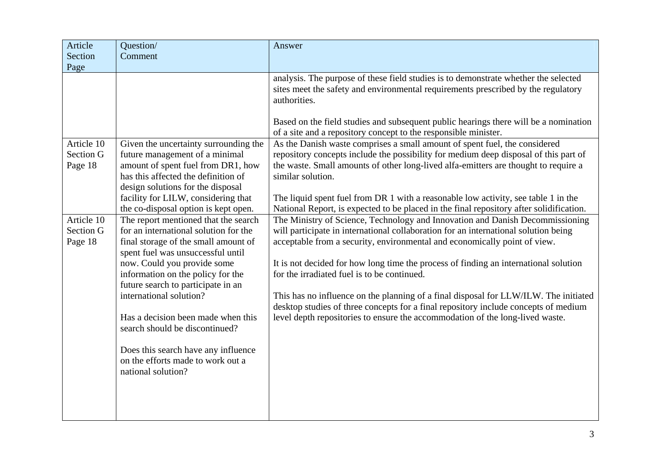| Comment                                                                                                                                                                                                                                                 |                                                                                                                                                                                                                                                                                                                                                                                                                                                                                  |
|---------------------------------------------------------------------------------------------------------------------------------------------------------------------------------------------------------------------------------------------------------|----------------------------------------------------------------------------------------------------------------------------------------------------------------------------------------------------------------------------------------------------------------------------------------------------------------------------------------------------------------------------------------------------------------------------------------------------------------------------------|
|                                                                                                                                                                                                                                                         |                                                                                                                                                                                                                                                                                                                                                                                                                                                                                  |
|                                                                                                                                                                                                                                                         |                                                                                                                                                                                                                                                                                                                                                                                                                                                                                  |
|                                                                                                                                                                                                                                                         | analysis. The purpose of these field studies is to demonstrate whether the selected<br>sites meet the safety and environmental requirements prescribed by the regulatory<br>authorities.                                                                                                                                                                                                                                                                                         |
|                                                                                                                                                                                                                                                         | Based on the field studies and subsequent public hearings there will be a nomination<br>of a site and a repository concept to the responsible minister.                                                                                                                                                                                                                                                                                                                          |
| Given the uncertainty surrounding the<br>future management of a minimal<br>amount of spent fuel from DR1, how<br>has this affected the definition of<br>design solutions for the disposal                                                               | As the Danish waste comprises a small amount of spent fuel, the considered<br>repository concepts include the possibility for medium deep disposal of this part of<br>the waste. Small amounts of other long-lived alfa-emitters are thought to require a<br>similar solution.                                                                                                                                                                                                   |
| facility for LILW, considering that<br>the co-disposal option is kept open.                                                                                                                                                                             | The liquid spent fuel from DR 1 with a reasonable low activity, see table 1 in the<br>National Report, is expected to be placed in the final repository after solidification.                                                                                                                                                                                                                                                                                                    |
| for an international solution for the<br>final storage of the small amount of<br>spent fuel was unsuccessful until<br>now. Could you provide some<br>information on the policy for the<br>future search to participate in an<br>international solution? | The Ministry of Science, Technology and Innovation and Danish Decommissioning<br>will participate in international collaboration for an international solution being<br>acceptable from a security, environmental and economically point of view.<br>It is not decided for how long time the process of finding an international solution<br>for the irradiated fuel is to be continued.<br>This has no influence on the planning of a final disposal for LLW/ILW. The initiated |
| Has a decision been made when this<br>search should be discontinued?<br>Does this search have any influence<br>on the efforts made to work out a<br>national solution?                                                                                  | desktop studies of three concepts for a final repository include concepts of medium<br>level depth repositories to ensure the accommodation of the long-lived waste.                                                                                                                                                                                                                                                                                                             |
|                                                                                                                                                                                                                                                         | The report mentioned that the search                                                                                                                                                                                                                                                                                                                                                                                                                                             |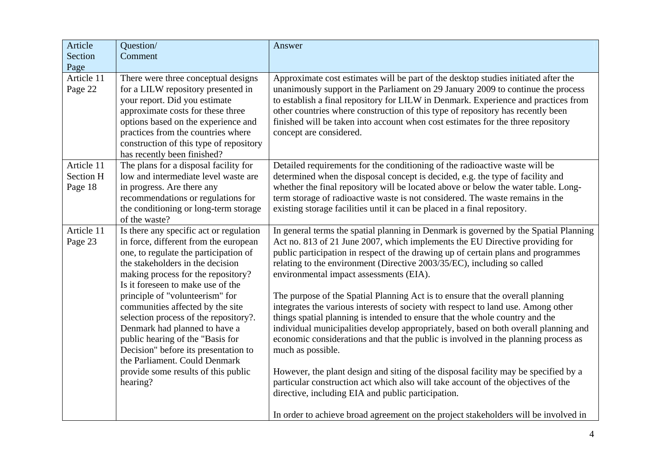| Article    | Question/                                                               | Answer                                                                               |
|------------|-------------------------------------------------------------------------|--------------------------------------------------------------------------------------|
| Section    | Comment                                                                 |                                                                                      |
| Page       |                                                                         |                                                                                      |
| Article 11 | There were three conceptual designs                                     | Approximate cost estimates will be part of the desktop studies initiated after the   |
| Page 22    | for a LILW repository presented in                                      | unanimously support in the Parliament on 29 January 2009 to continue the process     |
|            | your report. Did you estimate                                           | to establish a final repository for LILW in Denmark. Experience and practices from   |
|            | approximate costs for these three                                       | other countries where construction of this type of repository has recently been      |
|            | options based on the experience and                                     | finished will be taken into account when cost estimates for the three repository     |
|            | practices from the countries where                                      | concept are considered.                                                              |
|            | construction of this type of repository<br>has recently been finished?  |                                                                                      |
| Article 11 | The plans for a disposal facility for                                   | Detailed requirements for the conditioning of the radioactive waste will be          |
| Section H  | low and intermediate level waste are                                    | determined when the disposal concept is decided, e.g. the type of facility and       |
| Page 18    | in progress. Are there any                                              | whether the final repository will be located above or below the water table. Long-   |
|            | recommendations or regulations for                                      | term storage of radioactive waste is not considered. The waste remains in the        |
|            | the conditioning or long-term storage                                   | existing storage facilities until it can be placed in a final repository.            |
|            | of the waste?                                                           |                                                                                      |
| Article 11 | Is there any specific act or regulation                                 | In general terms the spatial planning in Denmark is governed by the Spatial Planning |
| Page 23    | in force, different from the european                                   | Act no. 813 of 21 June 2007, which implements the EU Directive providing for         |
|            | one, to regulate the participation of                                   | public participation in respect of the drawing up of certain plans and programmes    |
|            | the stakeholders in the decision                                        | relating to the environment (Directive 2003/35/EC), including so called              |
|            | making process for the repository?<br>Is it foreseen to make use of the | environmental impact assessments (EIA).                                              |
|            | principle of "volunteerism" for                                         | The purpose of the Spatial Planning Act is to ensure that the overall planning       |
|            | communities affected by the site                                        | integrates the various interests of society with respect to land use. Among other    |
|            | selection process of the repository?.                                   | things spatial planning is intended to ensure that the whole country and the         |
|            | Denmark had planned to have a                                           | individual municipalities develop appropriately, based on both overall planning and  |
|            | public hearing of the "Basis for                                        | economic considerations and that the public is involved in the planning process as   |
|            | Decision" before its presentation to                                    | much as possible.                                                                    |
|            | the Parliament. Could Denmark                                           |                                                                                      |
|            | provide some results of this public                                     | However, the plant design and siting of the disposal facility may be specified by a  |
|            | hearing?                                                                | particular construction act which also will take account of the objectives of the    |
|            |                                                                         | directive, including EIA and public participation.                                   |
|            |                                                                         | In order to achieve broad agreement on the project stakeholders will be involved in  |
|            |                                                                         |                                                                                      |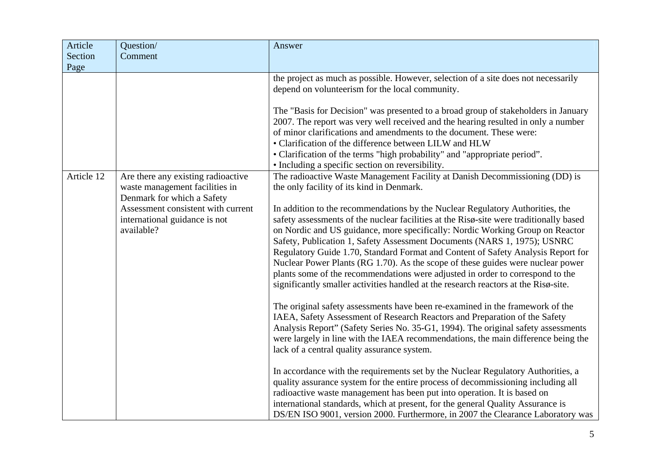| Article    | Question/                                                                                          | Answer                                                                                                                                                                                                                                                                                                                                                                                                                                                                                                                                                                                                                                                                               |
|------------|----------------------------------------------------------------------------------------------------|--------------------------------------------------------------------------------------------------------------------------------------------------------------------------------------------------------------------------------------------------------------------------------------------------------------------------------------------------------------------------------------------------------------------------------------------------------------------------------------------------------------------------------------------------------------------------------------------------------------------------------------------------------------------------------------|
| Section    | Comment                                                                                            |                                                                                                                                                                                                                                                                                                                                                                                                                                                                                                                                                                                                                                                                                      |
| Page       |                                                                                                    |                                                                                                                                                                                                                                                                                                                                                                                                                                                                                                                                                                                                                                                                                      |
|            |                                                                                                    | the project as much as possible. However, selection of a site does not necessarily<br>depend on volunteerism for the local community.<br>The "Basis for Decision" was presented to a broad group of stakeholders in January<br>2007. The report was very well received and the hearing resulted in only a number<br>of minor clarifications and amendments to the document. These were:<br>• Clarification of the difference between LILW and HLW<br>• Clarification of the terms "high probability" and "appropriate period".                                                                                                                                                       |
|            |                                                                                                    | • Including a specific section on reversibility.                                                                                                                                                                                                                                                                                                                                                                                                                                                                                                                                                                                                                                     |
| Article 12 | Are there any existing radioactive<br>waste management facilities in<br>Denmark for which a Safety | The radioactive Waste Management Facility at Danish Decommissioning (DD) is<br>the only facility of its kind in Denmark.                                                                                                                                                                                                                                                                                                                                                                                                                                                                                                                                                             |
|            | Assessment consistent with current<br>international guidance is not<br>available?                  | In addition to the recommendations by the Nuclear Regulatory Authorities, the<br>safety assessments of the nuclear facilities at the Risø-site were traditionally based<br>on Nordic and US guidance, more specifically: Nordic Working Group on Reactor<br>Safety, Publication 1, Safety Assessment Documents (NARS 1, 1975); USNRC<br>Regulatory Guide 1.70, Standard Format and Content of Safety Analysis Report for<br>Nuclear Power Plants (RG 1.70). As the scope of these guides were nuclear power<br>plants some of the recommendations were adjusted in order to correspond to the<br>significantly smaller activities handled at the research reactors at the Risø-site. |
|            |                                                                                                    | The original safety assessments have been re-examined in the framework of the<br>IAEA, Safety Assessment of Research Reactors and Preparation of the Safety<br>Analysis Report" (Safety Series No. 35-G1, 1994). The original safety assessments<br>were largely in line with the IAEA recommendations, the main difference being the<br>lack of a central quality assurance system.                                                                                                                                                                                                                                                                                                 |
|            |                                                                                                    | In accordance with the requirements set by the Nuclear Regulatory Authorities, a<br>quality assurance system for the entire process of decommissioning including all<br>radioactive waste management has been put into operation. It is based on<br>international standards, which at present, for the general Quality Assurance is<br>DS/EN ISO 9001, version 2000. Furthermore, in 2007 the Clearance Laboratory was                                                                                                                                                                                                                                                               |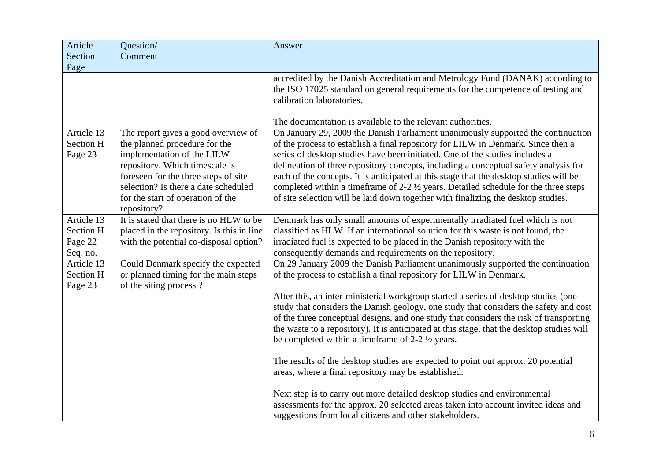| Article                                        | Question/                                                                                                                                                                                                                                                                | Answer                                                                                                                                                                                                                                                                                                                                                                                                                                                                                                                                                                                                                       |
|------------------------------------------------|--------------------------------------------------------------------------------------------------------------------------------------------------------------------------------------------------------------------------------------------------------------------------|------------------------------------------------------------------------------------------------------------------------------------------------------------------------------------------------------------------------------------------------------------------------------------------------------------------------------------------------------------------------------------------------------------------------------------------------------------------------------------------------------------------------------------------------------------------------------------------------------------------------------|
| Section                                        | Comment                                                                                                                                                                                                                                                                  |                                                                                                                                                                                                                                                                                                                                                                                                                                                                                                                                                                                                                              |
| Page                                           |                                                                                                                                                                                                                                                                          |                                                                                                                                                                                                                                                                                                                                                                                                                                                                                                                                                                                                                              |
|                                                |                                                                                                                                                                                                                                                                          | accredited by the Danish Accreditation and Metrology Fund (DANAK) according to<br>the ISO 17025 standard on general requirements for the competence of testing and<br>calibration laboratories.                                                                                                                                                                                                                                                                                                                                                                                                                              |
|                                                |                                                                                                                                                                                                                                                                          | The documentation is available to the relevant authorities.                                                                                                                                                                                                                                                                                                                                                                                                                                                                                                                                                                  |
| Article 13<br>Section H<br>Page 23             | The report gives a good overview of<br>the planned procedure for the<br>implementation of the LILW<br>repository. Which timescale is<br>foreseen for the three steps of site<br>selection? Is there a date scheduled<br>for the start of operation of the<br>repository? | On January 29, 2009 the Danish Parliament unanimously supported the continuation<br>of the process to establish a final repository for LILW in Denmark. Since then a<br>series of desktop studies have been initiated. One of the studies includes a<br>delineation of three repository concepts, including a conceptual safety analysis for<br>each of the concepts. It is anticipated at this stage that the desktop studies will be<br>completed within a timeframe of $2-2\frac{1}{2}$ years. Detailed schedule for the three steps<br>of site selection will be laid down together with finalizing the desktop studies. |
| Article 13<br>Section H<br>Page 22<br>Seq. no. | It is stated that there is no HLW to be<br>placed in the repository. Is this in line<br>with the potential co-disposal option?                                                                                                                                           | Denmark has only small amounts of experimentally irradiated fuel which is not<br>classified as HLW. If an international solution for this waste is not found, the<br>irradiated fuel is expected to be placed in the Danish repository with the<br>consequently demands and requirements on the repository.                                                                                                                                                                                                                                                                                                                  |
| Article 13<br>Section H<br>Page 23             | Could Denmark specify the expected<br>or planned timing for the main steps<br>of the siting process?                                                                                                                                                                     | On 29 January 2009 the Danish Parliament unanimously supported the continuation<br>of the process to establish a final repository for LILW in Denmark.                                                                                                                                                                                                                                                                                                                                                                                                                                                                       |
|                                                |                                                                                                                                                                                                                                                                          | After this, an inter-ministerial workgroup started a series of desktop studies (one<br>study that considers the Danish geology, one study that considers the safety and cost<br>of the three conceptual designs, and one study that considers the risk of transporting<br>the waste to a repository). It is anticipated at this stage, that the desktop studies will<br>be completed within a timeframe of $2-2\frac{1}{2}$ years.                                                                                                                                                                                           |
|                                                |                                                                                                                                                                                                                                                                          | The results of the desktop studies are expected to point out approx. 20 potential<br>areas, where a final repository may be established.                                                                                                                                                                                                                                                                                                                                                                                                                                                                                     |
|                                                |                                                                                                                                                                                                                                                                          | Next step is to carry out more detailed desktop studies and environmental<br>assessments for the approx. 20 selected areas taken into account invited ideas and<br>suggestions from local citizens and other stakeholders.                                                                                                                                                                                                                                                                                                                                                                                                   |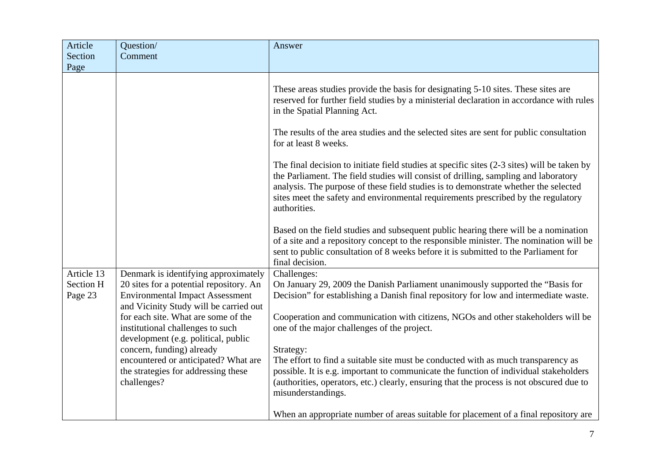| Article              | Question/                                                                                                                   | Answer                                                                                                                                                                                                                                                                                                                                                                         |
|----------------------|-----------------------------------------------------------------------------------------------------------------------------|--------------------------------------------------------------------------------------------------------------------------------------------------------------------------------------------------------------------------------------------------------------------------------------------------------------------------------------------------------------------------------|
| Section              | Comment                                                                                                                     |                                                                                                                                                                                                                                                                                                                                                                                |
| Page                 |                                                                                                                             |                                                                                                                                                                                                                                                                                                                                                                                |
|                      |                                                                                                                             | These areas studies provide the basis for designating 5-10 sites. These sites are<br>reserved for further field studies by a ministerial declaration in accordance with rules<br>in the Spatial Planning Act.                                                                                                                                                                  |
|                      |                                                                                                                             | The results of the area studies and the selected sites are sent for public consultation<br>for at least 8 weeks.                                                                                                                                                                                                                                                               |
|                      |                                                                                                                             | The final decision to initiate field studies at specific sites (2-3 sites) will be taken by<br>the Parliament. The field studies will consist of drilling, sampling and laboratory<br>analysis. The purpose of these field studies is to demonstrate whether the selected<br>sites meet the safety and environmental requirements prescribed by the regulatory<br>authorities. |
|                      |                                                                                                                             | Based on the field studies and subsequent public hearing there will be a nomination<br>of a site and a repository concept to the responsible minister. The nomination will be<br>sent to public consultation of 8 weeks before it is submitted to the Parliament for<br>final decision.                                                                                        |
| Article 13           | Denmark is identifying approximately                                                                                        | Challenges:                                                                                                                                                                                                                                                                                                                                                                    |
| Section H<br>Page 23 | 20 sites for a potential repository. An<br><b>Environmental Impact Assessment</b><br>and Vicinity Study will be carried out | On January 29, 2009 the Danish Parliament unanimously supported the "Basis for<br>Decision" for establishing a Danish final repository for low and intermediate waste.                                                                                                                                                                                                         |
|                      | for each site. What are some of the<br>institutional challenges to such<br>development (e.g. political, public              | Cooperation and communication with citizens, NGOs and other stakeholders will be<br>one of the major challenges of the project.                                                                                                                                                                                                                                                |
|                      | concern, funding) already                                                                                                   | Strategy:                                                                                                                                                                                                                                                                                                                                                                      |
|                      | encountered or anticipated? What are                                                                                        | The effort to find a suitable site must be conducted with as much transparency as                                                                                                                                                                                                                                                                                              |
|                      | the strategies for addressing these<br>challenges?                                                                          | possible. It is e.g. important to communicate the function of individual stakeholders<br>(authorities, operators, etc.) clearly, ensuring that the process is not obscured due to<br>misunderstandings.                                                                                                                                                                        |
|                      |                                                                                                                             | When an appropriate number of areas suitable for placement of a final repository are                                                                                                                                                                                                                                                                                           |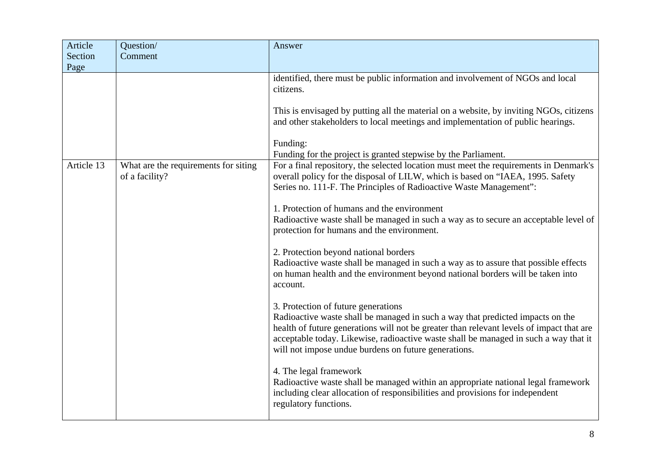| Article    | Question/                                              | Answer                                                                                                                                                                                                                                                                                                                                                            |
|------------|--------------------------------------------------------|-------------------------------------------------------------------------------------------------------------------------------------------------------------------------------------------------------------------------------------------------------------------------------------------------------------------------------------------------------------------|
| Section    | Comment                                                |                                                                                                                                                                                                                                                                                                                                                                   |
| Page       |                                                        |                                                                                                                                                                                                                                                                                                                                                                   |
|            |                                                        | identified, there must be public information and involvement of NGOs and local<br>citizens.<br>This is envisaged by putting all the material on a website, by inviting NGOs, citizens<br>and other stakeholders to local meetings and implementation of public hearings.<br>Funding:                                                                              |
| Article 13 | What are the requirements for siting<br>of a facility? | Funding for the project is granted stepwise by the Parliament.<br>For a final repository, the selected location must meet the requirements in Denmark's<br>overall policy for the disposal of LILW, which is based on "IAEA, 1995. Safety<br>Series no. 111-F. The Principles of Radioactive Waste Management":                                                   |
|            |                                                        | 1. Protection of humans and the environment<br>Radioactive waste shall be managed in such a way as to secure an acceptable level of<br>protection for humans and the environment.                                                                                                                                                                                 |
|            |                                                        | 2. Protection beyond national borders<br>Radioactive waste shall be managed in such a way as to assure that possible effects<br>on human health and the environment beyond national borders will be taken into<br>account.                                                                                                                                        |
|            |                                                        | 3. Protection of future generations<br>Radioactive waste shall be managed in such a way that predicted impacts on the<br>health of future generations will not be greater than relevant levels of impact that are<br>acceptable today. Likewise, radioactive waste shall be managed in such a way that it<br>will not impose undue burdens on future generations. |
|            |                                                        | 4. The legal framework<br>Radioactive waste shall be managed within an appropriate national legal framework<br>including clear allocation of responsibilities and provisions for independent<br>regulatory functions.                                                                                                                                             |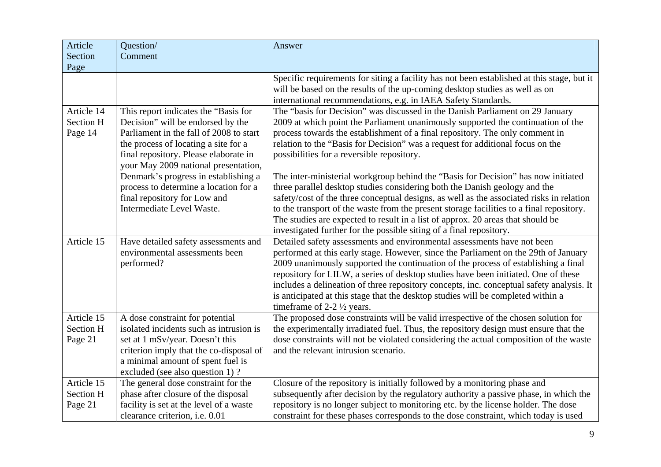| Article                                   | Question/                                                                                                                                                                                                                                                                                                                                                                                   | Answer                                                                                                                                                                                                                                                                                                                                                                                                                                                                                                                                                                                                                                                                                                                                       |
|-------------------------------------------|---------------------------------------------------------------------------------------------------------------------------------------------------------------------------------------------------------------------------------------------------------------------------------------------------------------------------------------------------------------------------------------------|----------------------------------------------------------------------------------------------------------------------------------------------------------------------------------------------------------------------------------------------------------------------------------------------------------------------------------------------------------------------------------------------------------------------------------------------------------------------------------------------------------------------------------------------------------------------------------------------------------------------------------------------------------------------------------------------------------------------------------------------|
| Section                                   | Comment                                                                                                                                                                                                                                                                                                                                                                                     |                                                                                                                                                                                                                                                                                                                                                                                                                                                                                                                                                                                                                                                                                                                                              |
| Page                                      |                                                                                                                                                                                                                                                                                                                                                                                             |                                                                                                                                                                                                                                                                                                                                                                                                                                                                                                                                                                                                                                                                                                                                              |
|                                           |                                                                                                                                                                                                                                                                                                                                                                                             | Specific requirements for siting a facility has not been established at this stage, but it<br>will be based on the results of the up-coming desktop studies as well as on<br>international recommendations, e.g. in IAEA Safety Standards.                                                                                                                                                                                                                                                                                                                                                                                                                                                                                                   |
| Article 14<br>Section H<br>Page 14        | This report indicates the "Basis for<br>Decision" will be endorsed by the<br>Parliament in the fall of 2008 to start<br>the process of locating a site for a<br>final repository. Please elaborate in<br>your May 2009 national presentation,<br>Denmark's progress in establishing a<br>process to determine a location for a<br>final repository for Low and<br>Intermediate Level Waste. | The "basis for Decision" was discussed in the Danish Parliament on 29 January<br>2009 at which point the Parliament unanimously supported the continuation of the<br>process towards the establishment of a final repository. The only comment in<br>relation to the "Basis for Decision" was a request for additional focus on the<br>possibilities for a reversible repository.<br>The inter-ministerial workgroup behind the "Basis for Decision" has now initiated<br>three parallel desktop studies considering both the Danish geology and the<br>safety/cost of the three conceptual designs, as well as the associated risks in relation<br>to the transport of the waste from the present storage facilities to a final repository. |
|                                           |                                                                                                                                                                                                                                                                                                                                                                                             | The studies are expected to result in a list of approx. 20 areas that should be<br>investigated further for the possible siting of a final repository.                                                                                                                                                                                                                                                                                                                                                                                                                                                                                                                                                                                       |
| Article 15                                | Have detailed safety assessments and<br>environmental assessments been<br>performed?                                                                                                                                                                                                                                                                                                        | Detailed safety assessments and environmental assessments have not been<br>performed at this early stage. However, since the Parliament on the 29th of January<br>2009 unanimously supported the continuation of the process of establishing a final<br>repository for LILW, a series of desktop studies have been initiated. One of these<br>includes a delineation of three repository concepts, inc. conceptual safety analysis. It<br>is anticipated at this stage that the desktop studies will be completed within a<br>time frame of 2-2 $\frac{1}{2}$ years.                                                                                                                                                                         |
| Article 15<br>Section H<br>Page 21        | A dose constraint for potential<br>isolated incidents such as intrusion is<br>set at 1 mSv/year. Doesn't this<br>criterion imply that the co-disposal of<br>a minimal amount of spent fuel is<br>excluded (see also question 1)?                                                                                                                                                            | The proposed dose constraints will be valid irrespective of the chosen solution for<br>the experimentally irradiated fuel. Thus, the repository design must ensure that the<br>dose constraints will not be violated considering the actual composition of the waste<br>and the relevant intrusion scenario.                                                                                                                                                                                                                                                                                                                                                                                                                                 |
| Article 15<br><b>Section H</b><br>Page 21 | The general dose constraint for the<br>phase after closure of the disposal<br>facility is set at the level of a waste<br>clearance criterion, i.e. 0.01                                                                                                                                                                                                                                     | Closure of the repository is initially followed by a monitoring phase and<br>subsequently after decision by the regulatory authority a passive phase, in which the<br>repository is no longer subject to monitoring etc. by the license holder. The dose<br>constraint for these phases corresponds to the dose constraint, which today is used                                                                                                                                                                                                                                                                                                                                                                                              |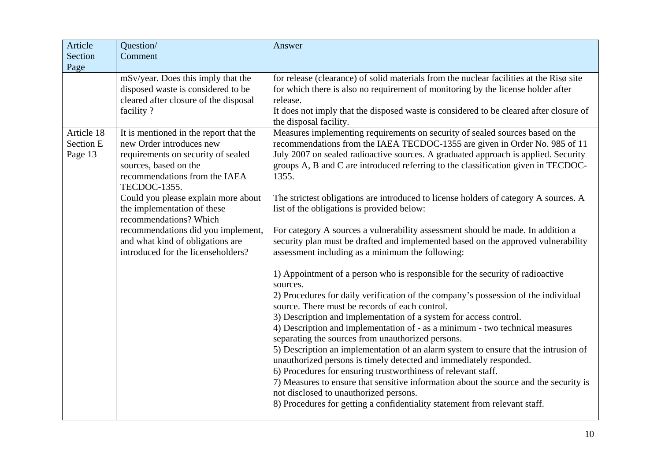| Article                                   | Question/                                                                                                                                                                                                                 | Answer                                                                                                                                                                                                                                                                                                                                                                                                                                                                                                                                                                                                                                                                                                                                                                                                                                                                                     |
|-------------------------------------------|---------------------------------------------------------------------------------------------------------------------------------------------------------------------------------------------------------------------------|--------------------------------------------------------------------------------------------------------------------------------------------------------------------------------------------------------------------------------------------------------------------------------------------------------------------------------------------------------------------------------------------------------------------------------------------------------------------------------------------------------------------------------------------------------------------------------------------------------------------------------------------------------------------------------------------------------------------------------------------------------------------------------------------------------------------------------------------------------------------------------------------|
| Section                                   | Comment                                                                                                                                                                                                                   |                                                                                                                                                                                                                                                                                                                                                                                                                                                                                                                                                                                                                                                                                                                                                                                                                                                                                            |
| Page                                      |                                                                                                                                                                                                                           |                                                                                                                                                                                                                                                                                                                                                                                                                                                                                                                                                                                                                                                                                                                                                                                                                                                                                            |
|                                           | mSv/year. Does this imply that the<br>disposed waste is considered to be<br>cleared after closure of the disposal<br>facility?                                                                                            | for release (clearance) of solid materials from the nuclear facilities at the Risø site<br>for which there is also no requirement of monitoring by the license holder after<br>release.<br>It does not imply that the disposed waste is considered to be cleared after closure of<br>the disposal facility.                                                                                                                                                                                                                                                                                                                                                                                                                                                                                                                                                                                |
| Article 18<br><b>Section E</b><br>Page 13 | It is mentioned in the report that the<br>new Order introduces new<br>requirements on security of sealed<br>sources, based on the<br>recommendations from the IAEA<br>TECDOC-1355.<br>Could you please explain more about | Measures implementing requirements on security of sealed sources based on the<br>recommendations from the IAEA TECDOC-1355 are given in Order No. 985 of 11<br>July 2007 on sealed radioactive sources. A graduated approach is applied. Security<br>groups A, B and C are introduced referring to the classification given in TECDOC-<br>1355.<br>The strictest obligations are introduced to license holders of category A sources. A                                                                                                                                                                                                                                                                                                                                                                                                                                                    |
|                                           | the implementation of these<br>recommendations? Which<br>recommendations did you implement,<br>and what kind of obligations are<br>introduced for the licenseholders?                                                     | list of the obligations is provided below:<br>For category A sources a vulnerability assessment should be made. In addition a<br>security plan must be drafted and implemented based on the approved vulnerability<br>assessment including as a minimum the following:                                                                                                                                                                                                                                                                                                                                                                                                                                                                                                                                                                                                                     |
|                                           |                                                                                                                                                                                                                           | 1) Appointment of a person who is responsible for the security of radioactive<br>sources.<br>2) Procedures for daily verification of the company's possession of the individual<br>source. There must be records of each control.<br>3) Description and implementation of a system for access control.<br>4) Description and implementation of - as a minimum - two technical measures<br>separating the sources from unauthorized persons.<br>5) Description an implementation of an alarm system to ensure that the intrusion of<br>unauthorized persons is timely detected and immediately responded.<br>6) Procedures for ensuring trustworthiness of relevant staff.<br>7) Measures to ensure that sensitive information about the source and the security is<br>not disclosed to unauthorized persons.<br>8) Procedures for getting a confidentiality statement from relevant staff. |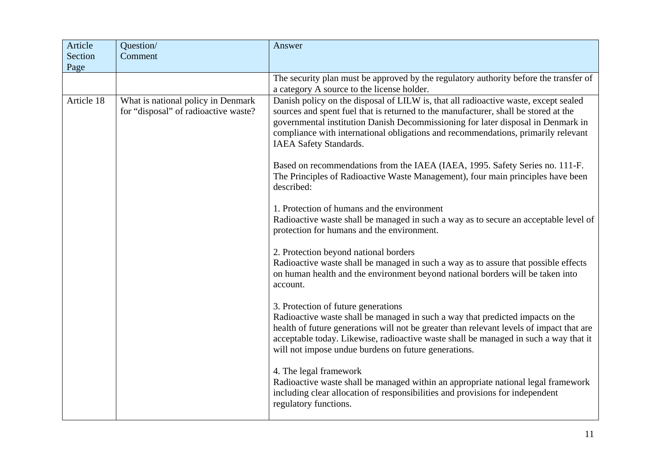| Article    | Question/                                                                  | Answer                                                                                                                                                                                                                                                                                                                                                                               |
|------------|----------------------------------------------------------------------------|--------------------------------------------------------------------------------------------------------------------------------------------------------------------------------------------------------------------------------------------------------------------------------------------------------------------------------------------------------------------------------------|
| Section    | Comment                                                                    |                                                                                                                                                                                                                                                                                                                                                                                      |
| Page       |                                                                            |                                                                                                                                                                                                                                                                                                                                                                                      |
|            |                                                                            | The security plan must be approved by the regulatory authority before the transfer of<br>a category A source to the license holder.                                                                                                                                                                                                                                                  |
| Article 18 | What is national policy in Denmark<br>for "disposal" of radioactive waste? | Danish policy on the disposal of LILW is, that all radioactive waste, except sealed<br>sources and spent fuel that is returned to the manufacturer, shall be stored at the<br>governmental institution Danish Decommissioning for later disposal in Denmark in<br>compliance with international obligations and recommendations, primarily relevant<br><b>IAEA Safety Standards.</b> |
|            |                                                                            | Based on recommendations from the IAEA (IAEA, 1995. Safety Series no. 111-F.<br>The Principles of Radioactive Waste Management), four main principles have been<br>described:                                                                                                                                                                                                        |
|            |                                                                            | 1. Protection of humans and the environment<br>Radioactive waste shall be managed in such a way as to secure an acceptable level of<br>protection for humans and the environment.                                                                                                                                                                                                    |
|            |                                                                            | 2. Protection beyond national borders<br>Radioactive waste shall be managed in such a way as to assure that possible effects<br>on human health and the environment beyond national borders will be taken into<br>account.                                                                                                                                                           |
|            |                                                                            | 3. Protection of future generations<br>Radioactive waste shall be managed in such a way that predicted impacts on the<br>health of future generations will not be greater than relevant levels of impact that are<br>acceptable today. Likewise, radioactive waste shall be managed in such a way that it<br>will not impose undue burdens on future generations.                    |
|            |                                                                            | 4. The legal framework<br>Radioactive waste shall be managed within an appropriate national legal framework<br>including clear allocation of responsibilities and provisions for independent<br>regulatory functions.                                                                                                                                                                |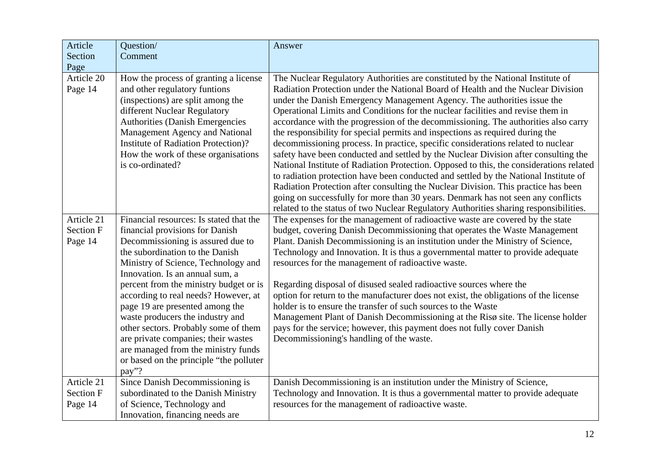| Article    | Question/                               | Answer                                                                                                                                                                 |
|------------|-----------------------------------------|------------------------------------------------------------------------------------------------------------------------------------------------------------------------|
| Section    | Comment                                 |                                                                                                                                                                        |
| Page       |                                         |                                                                                                                                                                        |
| Article 20 | How the process of granting a license   | The Nuclear Regulatory Authorities are constituted by the National Institute of                                                                                        |
| Page 14    | and other regulatory funtions           | Radiation Protection under the National Board of Health and the Nuclear Division                                                                                       |
|            | (inspections) are split among the       | under the Danish Emergency Management Agency. The authorities issue the                                                                                                |
|            | different Nuclear Regulatory            | Operational Limits and Conditions for the nuclear facilities and revise them in                                                                                        |
|            | <b>Authorities (Danish Emergencies</b>  | accordance with the progression of the decommissioning. The authorities also carry                                                                                     |
|            | Management Agency and National          | the responsibility for special permits and inspections as required during the                                                                                          |
|            | Institute of Radiation Protection)?     | decommissioning process. In practice, specific considerations related to nuclear                                                                                       |
|            | How the work of these organisations     | safety have been conducted and settled by the Nuclear Division after consulting the                                                                                    |
|            | is co-ordinated?                        | National Institute of Radiation Protection. Opposed to this, the considerations related                                                                                |
|            |                                         | to radiation protection have been conducted and settled by the National Institute of                                                                                   |
|            |                                         | Radiation Protection after consulting the Nuclear Division. This practice has been<br>going on successfully for more than 30 years. Denmark has not seen any conflicts |
|            |                                         | related to the status of two Nuclear Regulatory Authorities sharing responsibilities.                                                                                  |
| Article 21 | Financial resources: Is stated that the | The expenses for the management of radioactive waste are covered by the state                                                                                          |
| Section F  | financial provisions for Danish         | budget, covering Danish Decommissioning that operates the Waste Management                                                                                             |
| Page 14    | Decommissioning is assured due to       | Plant. Danish Decommissioning is an institution under the Ministry of Science,                                                                                         |
|            | the subordination to the Danish         | Technology and Innovation. It is thus a governmental matter to provide adequate                                                                                        |
|            | Ministry of Science, Technology and     | resources for the management of radioactive waste.                                                                                                                     |
|            | Innovation. Is an annual sum, a         |                                                                                                                                                                        |
|            | percent from the ministry budget or is  | Regarding disposal of disused sealed radioactive sources where the                                                                                                     |
|            | according to real needs? However, at    | option for return to the manufacturer does not exist, the obligations of the license                                                                                   |
|            | page 19 are presented among the         | holder is to ensure the transfer of such sources to the Waste                                                                                                          |
|            | waste producers the industry and        | Management Plant of Danish Decommissioning at the Risø site. The license holder                                                                                        |
|            | other sectors. Probably some of them    | pays for the service; however, this payment does not fully cover Danish                                                                                                |
|            | are private companies; their wastes     | Decommissioning's handling of the waste.                                                                                                                               |
|            | are managed from the ministry funds     |                                                                                                                                                                        |
|            | or based on the principle "the polluter |                                                                                                                                                                        |
|            | pay"?                                   |                                                                                                                                                                        |
| Article 21 | Since Danish Decommissioning is         | Danish Decommissioning is an institution under the Ministry of Science,                                                                                                |
| Section F  | subordinated to the Danish Ministry     | Technology and Innovation. It is thus a governmental matter to provide adequate                                                                                        |
| Page 14    | of Science, Technology and              | resources for the management of radioactive waste.                                                                                                                     |
|            | Innovation, financing needs are         |                                                                                                                                                                        |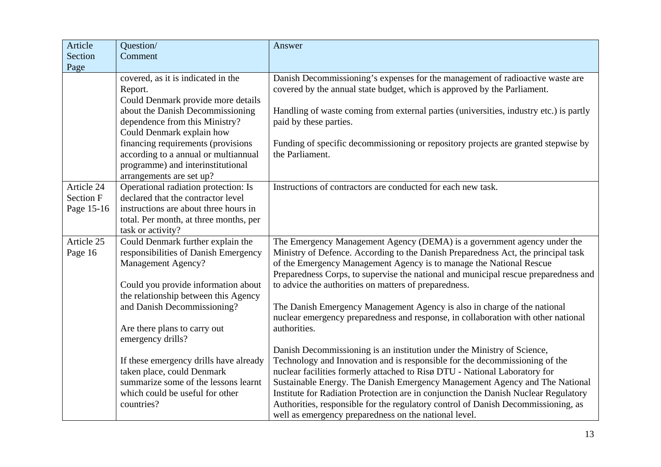| Article          | Question/                                                                  | Answer                                                                                                                                                                   |
|------------------|----------------------------------------------------------------------------|--------------------------------------------------------------------------------------------------------------------------------------------------------------------------|
| Section          | Comment                                                                    |                                                                                                                                                                          |
| Page             |                                                                            |                                                                                                                                                                          |
|                  | covered, as it is indicated in the<br>Report.                              | Danish Decommissioning's expenses for the management of radioactive waste are<br>covered by the annual state budget, which is approved by the Parliament.                |
|                  | Could Denmark provide more details                                         |                                                                                                                                                                          |
|                  | about the Danish Decommissioning<br>dependence from this Ministry?         | Handling of waste coming from external parties (universities, industry etc.) is partly<br>paid by these parties.                                                         |
|                  | Could Denmark explain how                                                  |                                                                                                                                                                          |
|                  | financing requirements (provisions<br>according to a annual or multiannual | Funding of specific decommissioning or repository projects are granted stepwise by<br>the Parliament.                                                                    |
|                  | programme) and interinstitutional<br>arrangements are set up?              |                                                                                                                                                                          |
| Article 24       | Operational radiation protection: Is                                       | Instructions of contractors are conducted for each new task.                                                                                                             |
| <b>Section F</b> | declared that the contractor level                                         |                                                                                                                                                                          |
| Page 15-16       | instructions are about three hours in                                      |                                                                                                                                                                          |
|                  | total. Per month, at three months, per                                     |                                                                                                                                                                          |
|                  | task or activity?                                                          |                                                                                                                                                                          |
| Article 25       | Could Denmark further explain the                                          | The Emergency Management Agency (DEMA) is a government agency under the                                                                                                  |
| Page 16          | responsibilities of Danish Emergency                                       | Ministry of Defence. According to the Danish Preparedness Act, the principal task                                                                                        |
|                  | <b>Management Agency?</b>                                                  | of the Emergency Management Agency is to manage the National Rescue                                                                                                      |
|                  |                                                                            | Preparedness Corps, to supervise the national and municipal rescue preparedness and                                                                                      |
|                  | Could you provide information about                                        | to advice the authorities on matters of preparedness.                                                                                                                    |
|                  | the relationship between this Agency                                       |                                                                                                                                                                          |
|                  | and Danish Decommissioning?                                                | The Danish Emergency Management Agency is also in charge of the national<br>nuclear emergency preparedness and response, in collaboration with other national            |
|                  | Are there plans to carry out                                               | authorities.                                                                                                                                                             |
|                  | emergency drills?                                                          |                                                                                                                                                                          |
|                  |                                                                            | Danish Decommissioning is an institution under the Ministry of Science,                                                                                                  |
|                  | If these emergency drills have already                                     | Technology and Innovation and is responsible for the decommissioning of the                                                                                              |
|                  | taken place, could Denmark                                                 | nuclear facilities formerly attached to Risø DTU - National Laboratory for                                                                                               |
|                  | summarize some of the lessons learnt                                       | Sustainable Energy. The Danish Emergency Management Agency and The National                                                                                              |
|                  | which could be useful for other<br>countries?                              | Institute for Radiation Protection are in conjunction the Danish Nuclear Regulatory<br>Authorities, responsible for the regulatory control of Danish Decommissioning, as |
|                  |                                                                            | well as emergency preparedness on the national level.                                                                                                                    |
|                  |                                                                            |                                                                                                                                                                          |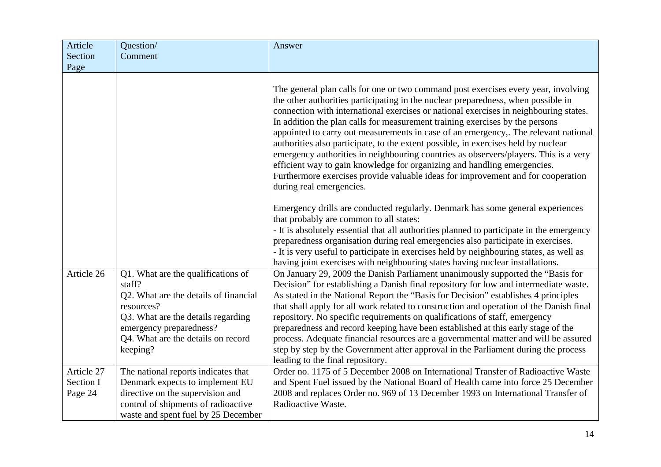| Article                            | Question/                                                                                                                                                                                                              | Answer                                                                                                                                                                                                                                                                                                                                                                                                                                                                                                                                                                                                                                                                                                                                                                                                            |
|------------------------------------|------------------------------------------------------------------------------------------------------------------------------------------------------------------------------------------------------------------------|-------------------------------------------------------------------------------------------------------------------------------------------------------------------------------------------------------------------------------------------------------------------------------------------------------------------------------------------------------------------------------------------------------------------------------------------------------------------------------------------------------------------------------------------------------------------------------------------------------------------------------------------------------------------------------------------------------------------------------------------------------------------------------------------------------------------|
| Section                            | Comment                                                                                                                                                                                                                |                                                                                                                                                                                                                                                                                                                                                                                                                                                                                                                                                                                                                                                                                                                                                                                                                   |
| Page                               |                                                                                                                                                                                                                        |                                                                                                                                                                                                                                                                                                                                                                                                                                                                                                                                                                                                                                                                                                                                                                                                                   |
|                                    |                                                                                                                                                                                                                        | The general plan calls for one or two command post exercises every year, involving<br>the other authorities participating in the nuclear preparedness, when possible in<br>connection with international exercises or national exercises in neighbouring states.<br>In addition the plan calls for measurement training exercises by the persons<br>appointed to carry out measurements in case of an emergency,. The relevant national<br>authorities also participate, to the extent possible, in exercises held by nuclear<br>emergency authorities in neighbouring countries as observers/players. This is a very<br>efficient way to gain knowledge for organizing and handling emergencies.<br>Furthermore exercises provide valuable ideas for improvement and for cooperation<br>during real emergencies. |
|                                    |                                                                                                                                                                                                                        | Emergency drills are conducted regularly. Denmark has some general experiences<br>that probably are common to all states:<br>- It is absolutely essential that all authorities planned to participate in the emergency<br>preparedness organisation during real emergencies also participate in exercises.<br>- It is very useful to participate in exercises held by neighbouring states, as well as<br>having joint exercises with neighbouring states having nuclear installations.                                                                                                                                                                                                                                                                                                                            |
| Article 26                         | Q1. What are the qualifications of<br>staff?<br>Q2. What are the details of financial<br>resources?<br>Q3. What are the details regarding<br>emergency preparedness?<br>Q4. What are the details on record<br>keeping? | On January 29, 2009 the Danish Parliament unanimously supported the "Basis for<br>Decision" for establishing a Danish final repository for low and intermediate waste.<br>As stated in the National Report the "Basis for Decision" establishes 4 principles<br>that shall apply for all work related to construction and operation of the Danish final<br>repository. No specific requirements on qualifications of staff, emergency<br>preparedness and record keeping have been established at this early stage of the<br>process. Adequate financial resources are a governmental matter and will be assured<br>step by step by the Government after approval in the Parliament during the process<br>leading to the final repository.                                                                        |
| Article 27<br>Section I<br>Page 24 | The national reports indicates that<br>Denmark expects to implement EU<br>directive on the supervision and<br>control of shipments of radioactive<br>waste and spent fuel by 25 December                               | Order no. 1175 of 5 December 2008 on International Transfer of Radioactive Waste<br>and Spent Fuel issued by the National Board of Health came into force 25 December<br>2008 and replaces Order no. 969 of 13 December 1993 on International Transfer of<br>Radioactive Waste.                                                                                                                                                                                                                                                                                                                                                                                                                                                                                                                                   |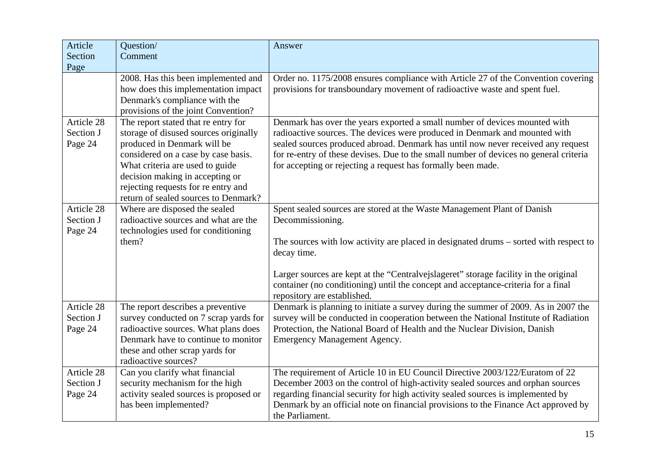| Article    | Question/                              | Answer                                                                                |
|------------|----------------------------------------|---------------------------------------------------------------------------------------|
| Section    | Comment                                |                                                                                       |
| Page       |                                        |                                                                                       |
|            | 2008. Has this been implemented and    | Order no. 1175/2008 ensures compliance with Article 27 of the Convention covering     |
|            | how does this implementation impact    | provisions for transboundary movement of radioactive waste and spent fuel.            |
|            | Denmark's compliance with the          |                                                                                       |
|            | provisions of the joint Convention?    |                                                                                       |
| Article 28 | The report stated that re entry for    | Denmark has over the years exported a small number of devices mounted with            |
| Section J  | storage of disused sources originally  | radioactive sources. The devices were produced in Denmark and mounted with            |
| Page 24    | produced in Denmark will be            | sealed sources produced abroad. Denmark has until now never received any request      |
|            | considered on a case by case basis.    | for re-entry of these devises. Due to the small number of devices no general criteria |
|            | What criteria are used to guide        | for accepting or rejecting a request has formally been made.                          |
|            | decision making in accepting or        |                                                                                       |
|            | rejecting requests for re entry and    |                                                                                       |
|            | return of sealed sources to Denmark?   |                                                                                       |
| Article 28 | Where are disposed the sealed          | Spent sealed sources are stored at the Waste Management Plant of Danish               |
| Section J  | radioactive sources and what are the   | Decommissioning.                                                                      |
| Page 24    | technologies used for conditioning     |                                                                                       |
|            | them?                                  | The sources with low activity are placed in designated drums – sorted with respect to |
|            |                                        | decay time.                                                                           |
|            |                                        | Larger sources are kept at the "Centralvejslageret" storage facility in the original  |
|            |                                        | container (no conditioning) until the concept and acceptance-criteria for a final     |
|            |                                        | repository are established.                                                           |
| Article 28 | The report describes a preventive      | Denmark is planning to initiate a survey during the summer of 2009. As in 2007 the    |
| Section J  | survey conducted on 7 scrap yards for  | survey will be conducted in cooperation between the National Institute of Radiation   |
| Page 24    | radioactive sources. What plans does   | Protection, the National Board of Health and the Nuclear Division, Danish             |
|            | Denmark have to continue to monitor    | <b>Emergency Management Agency.</b>                                                   |
|            | these and other scrap yards for        |                                                                                       |
|            | radioactive sources?                   |                                                                                       |
| Article 28 | Can you clarify what financial         | The requirement of Article 10 in EU Council Directive 2003/122/Euratom of 22          |
| Section J  | security mechanism for the high        | December 2003 on the control of high-activity sealed sources and orphan sources       |
| Page 24    | activity sealed sources is proposed or | regarding financial security for high activity sealed sources is implemented by       |
|            | has been implemented?                  | Denmark by an official note on financial provisions to the Finance Act approved by    |
|            |                                        | the Parliament.                                                                       |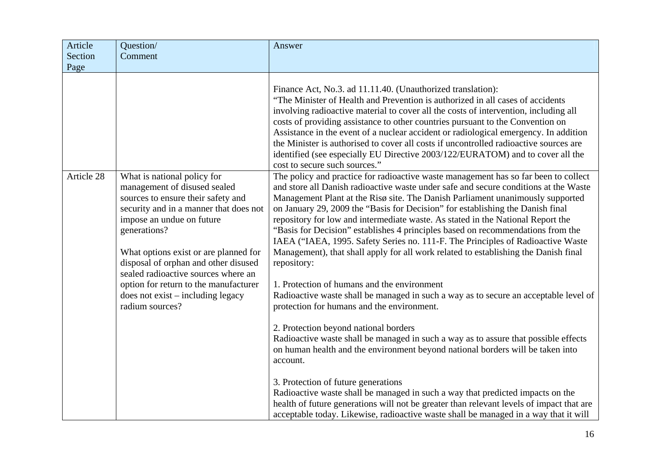| Article    | Question/                                                                                                                                                                                                                                                                                                        | Answer                                                                                                                                                                                                                                                                                                                                                                                                                                                                                                                                                                                                                                                                                                         |
|------------|------------------------------------------------------------------------------------------------------------------------------------------------------------------------------------------------------------------------------------------------------------------------------------------------------------------|----------------------------------------------------------------------------------------------------------------------------------------------------------------------------------------------------------------------------------------------------------------------------------------------------------------------------------------------------------------------------------------------------------------------------------------------------------------------------------------------------------------------------------------------------------------------------------------------------------------------------------------------------------------------------------------------------------------|
| Section    | Comment                                                                                                                                                                                                                                                                                                          |                                                                                                                                                                                                                                                                                                                                                                                                                                                                                                                                                                                                                                                                                                                |
| Page       |                                                                                                                                                                                                                                                                                                                  |                                                                                                                                                                                                                                                                                                                                                                                                                                                                                                                                                                                                                                                                                                                |
|            |                                                                                                                                                                                                                                                                                                                  | Finance Act, No.3. ad 11.11.40. (Unauthorized translation):<br>"The Minister of Health and Prevention is authorized in all cases of accidents<br>involving radioactive material to cover all the costs of intervention, including all<br>costs of providing assistance to other countries pursuant to the Convention on<br>Assistance in the event of a nuclear accident or radiological emergency. In addition<br>the Minister is authorised to cover all costs if uncontrolled radioactive sources are<br>identified (see especially EU Directive 2003/122/EURATOM) and to cover all the<br>cost to secure such sources."                                                                                    |
| Article 28 | What is national policy for<br>management of disused sealed<br>sources to ensure their safety and<br>security and in a manner that does not<br>impose an undue on future<br>generations?<br>What options exist or are planned for<br>disposal of orphan and other disused<br>sealed radioactive sources where an | The policy and practice for radioactive waste management has so far been to collect<br>and store all Danish radioactive waste under safe and secure conditions at the Waste<br>Management Plant at the Risø site. The Danish Parliament unanimously supported<br>on January 29, 2009 the "Basis for Decision" for establishing the Danish final<br>repository for low and intermediate waste. As stated in the National Report the<br>"Basis for Decision" establishes 4 principles based on recommendations from the<br>IAEA ("IAEA, 1995. Safety Series no. 111-F. The Principles of Radioactive Waste<br>Management), that shall apply for all work related to establishing the Danish final<br>repository: |
|            | option for return to the manufacturer<br>does not exist - including legacy<br>radium sources?                                                                                                                                                                                                                    | 1. Protection of humans and the environment<br>Radioactive waste shall be managed in such a way as to secure an acceptable level of<br>protection for humans and the environment.                                                                                                                                                                                                                                                                                                                                                                                                                                                                                                                              |
|            |                                                                                                                                                                                                                                                                                                                  | 2. Protection beyond national borders<br>Radioactive waste shall be managed in such a way as to assure that possible effects<br>on human health and the environment beyond national borders will be taken into<br>account.                                                                                                                                                                                                                                                                                                                                                                                                                                                                                     |
|            |                                                                                                                                                                                                                                                                                                                  | 3. Protection of future generations<br>Radioactive waste shall be managed in such a way that predicted impacts on the<br>health of future generations will not be greater than relevant levels of impact that are<br>acceptable today. Likewise, radioactive waste shall be managed in a way that it will                                                                                                                                                                                                                                                                                                                                                                                                      |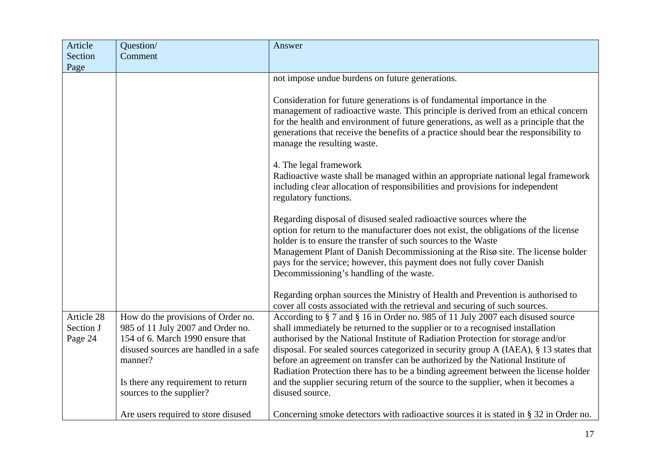| Article                            | Question/                                                                                                                                                                                             | Answer                                                                                                                                                                                                                                                                                                                                                                                                                                                                                                                                                                                                    |
|------------------------------------|-------------------------------------------------------------------------------------------------------------------------------------------------------------------------------------------------------|-----------------------------------------------------------------------------------------------------------------------------------------------------------------------------------------------------------------------------------------------------------------------------------------------------------------------------------------------------------------------------------------------------------------------------------------------------------------------------------------------------------------------------------------------------------------------------------------------------------|
| Section                            | Comment                                                                                                                                                                                               |                                                                                                                                                                                                                                                                                                                                                                                                                                                                                                                                                                                                           |
| Page                               |                                                                                                                                                                                                       |                                                                                                                                                                                                                                                                                                                                                                                                                                                                                                                                                                                                           |
|                                    |                                                                                                                                                                                                       | not impose undue burdens on future generations.                                                                                                                                                                                                                                                                                                                                                                                                                                                                                                                                                           |
|                                    |                                                                                                                                                                                                       | Consideration for future generations is of fundamental importance in the<br>management of radioactive waste. This principle is derived from an ethical concern<br>for the health and environment of future generations, as well as a principle that the<br>generations that receive the benefits of a practice should bear the responsibility to<br>manage the resulting waste.                                                                                                                                                                                                                           |
|                                    |                                                                                                                                                                                                       | 4. The legal framework<br>Radioactive waste shall be managed within an appropriate national legal framework<br>including clear allocation of responsibilities and provisions for independent<br>regulatory functions.                                                                                                                                                                                                                                                                                                                                                                                     |
|                                    |                                                                                                                                                                                                       | Regarding disposal of disused sealed radioactive sources where the<br>option for return to the manufacturer does not exist, the obligations of the license<br>holder is to ensure the transfer of such sources to the Waste<br>Management Plant of Danish Decommissioning at the Risø site. The license holder<br>pays for the service; however, this payment does not fully cover Danish<br>Decommissioning's handling of the waste.                                                                                                                                                                     |
|                                    |                                                                                                                                                                                                       | Regarding orphan sources the Ministry of Health and Prevention is authorised to<br>cover all costs associated with the retrieval and securing of such sources.                                                                                                                                                                                                                                                                                                                                                                                                                                            |
| Article 28<br>Section J<br>Page 24 | How do the provisions of Order no.<br>985 of 11 July 2007 and Order no.<br>154 of 6. March 1990 ensure that<br>disused sources are handled in a safe<br>manner?<br>Is there any requirement to return | According to § 7 and § 16 in Order no. 985 of 11 July 2007 each disused source<br>shall immediately be returned to the supplier or to a recognised installation<br>authorised by the National Institute of Radiation Protection for storage and/or<br>disposal. For sealed sources categorized in security group A (IAEA), § 13 states that<br>before an agreement on transfer can be authorized by the National Institute of<br>Radiation Protection there has to be a binding agreement between the license holder<br>and the supplier securing return of the source to the supplier, when it becomes a |
|                                    | sources to the supplier?<br>Are users required to store disused                                                                                                                                       | disused source.<br>Concerning smoke detectors with radioactive sources it is stated in § 32 in Order no.                                                                                                                                                                                                                                                                                                                                                                                                                                                                                                  |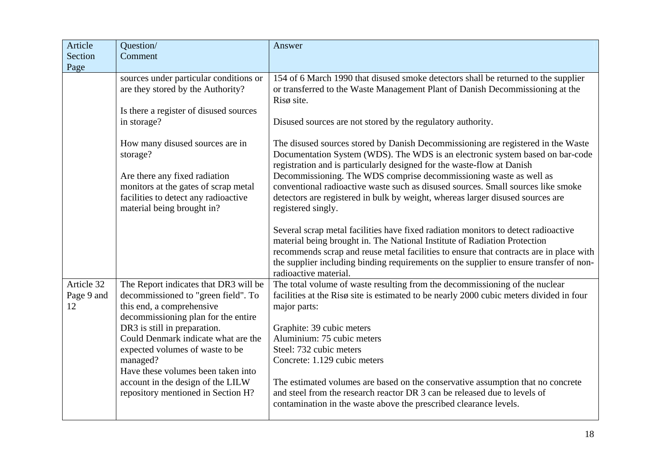| Article                        | Question/                                                                                                                                        | Answer                                                                                                                                                                                                                                                                                                                                                                                                |
|--------------------------------|--------------------------------------------------------------------------------------------------------------------------------------------------|-------------------------------------------------------------------------------------------------------------------------------------------------------------------------------------------------------------------------------------------------------------------------------------------------------------------------------------------------------------------------------------------------------|
| Section                        | Comment                                                                                                                                          |                                                                                                                                                                                                                                                                                                                                                                                                       |
| Page                           |                                                                                                                                                  |                                                                                                                                                                                                                                                                                                                                                                                                       |
|                                | sources under particular conditions or<br>are they stored by the Authority?                                                                      | 154 of 6 March 1990 that disused smoke detectors shall be returned to the supplier<br>or transferred to the Waste Management Plant of Danish Decommissioning at the<br>Risø site.                                                                                                                                                                                                                     |
|                                | Is there a register of disused sources<br>in storage?                                                                                            | Disused sources are not stored by the regulatory authority.                                                                                                                                                                                                                                                                                                                                           |
|                                | How many disused sources are in<br>storage?<br>Are there any fixed radiation                                                                     | The disused sources stored by Danish Decommissioning are registered in the Waste<br>Documentation System (WDS). The WDS is an electronic system based on bar-code<br>registration and is particularly designed for the waste-flow at Danish<br>Decommissioning. The WDS comprise decommissioning waste as well as<br>conventional radioactive waste such as disused sources. Small sources like smoke |
|                                | monitors at the gates of scrap metal<br>facilities to detect any radioactive<br>material being brought in?                                       | detectors are registered in bulk by weight, whereas larger disused sources are<br>registered singly.                                                                                                                                                                                                                                                                                                  |
|                                |                                                                                                                                                  | Several scrap metal facilities have fixed radiation monitors to detect radioactive<br>material being brought in. The National Institute of Radiation Protection<br>recommends scrap and reuse metal facilities to ensure that contracts are in place with<br>the supplier including binding requirements on the supplier to ensure transfer of non-<br>radioactive material.                          |
| Article 32<br>Page 9 and<br>12 | The Report indicates that DR3 will be<br>decommissioned to "green field". To<br>this end, a comprehensive<br>decommissioning plan for the entire | The total volume of waste resulting from the decommissioning of the nuclear<br>facilities at the Risø site is estimated to be nearly 2000 cubic meters divided in four<br>major parts:                                                                                                                                                                                                                |
|                                | DR3 is still in preparation.                                                                                                                     | Graphite: 39 cubic meters                                                                                                                                                                                                                                                                                                                                                                             |
|                                | Could Denmark indicate what are the                                                                                                              | Aluminium: 75 cubic meters                                                                                                                                                                                                                                                                                                                                                                            |
|                                | expected volumes of waste to be                                                                                                                  | Steel: 732 cubic meters                                                                                                                                                                                                                                                                                                                                                                               |
|                                | managed?                                                                                                                                         | Concrete: 1.129 cubic meters                                                                                                                                                                                                                                                                                                                                                                          |
|                                | Have these volumes been taken into<br>account in the design of the LILW<br>repository mentioned in Section H?                                    | The estimated volumes are based on the conservative assumption that no concrete<br>and steel from the research reactor DR 3 can be released due to levels of<br>contamination in the waste above the prescribed clearance levels.                                                                                                                                                                     |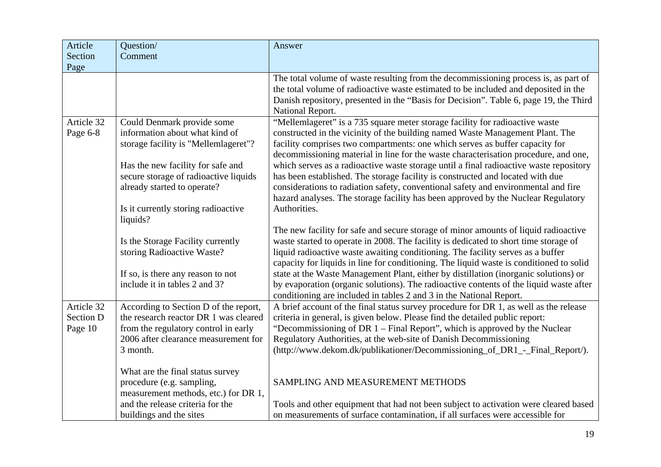| Article                            | Question/                                                                                                                                                                  | Answer                                                                                                                                                                                                                                                                                                                                                                                                    |
|------------------------------------|----------------------------------------------------------------------------------------------------------------------------------------------------------------------------|-----------------------------------------------------------------------------------------------------------------------------------------------------------------------------------------------------------------------------------------------------------------------------------------------------------------------------------------------------------------------------------------------------------|
| Section                            | Comment                                                                                                                                                                    |                                                                                                                                                                                                                                                                                                                                                                                                           |
| Page                               |                                                                                                                                                                            |                                                                                                                                                                                                                                                                                                                                                                                                           |
|                                    |                                                                                                                                                                            | The total volume of waste resulting from the decommissioning process is, as part of<br>the total volume of radioactive waste estimated to be included and deposited in the<br>Danish repository, presented in the "Basis for Decision". Table 6, page 19, the Third<br>National Report.                                                                                                                   |
| Article 32                         | Could Denmark provide some                                                                                                                                                 | "Mellemlageret" is a 735 square meter storage facility for radioactive waste                                                                                                                                                                                                                                                                                                                              |
| Page 6-8                           | information about what kind of<br>storage facility is "Mellemlageret"?                                                                                                     | constructed in the vicinity of the building named Waste Management Plant. The<br>facility comprises two compartments: one which serves as buffer capacity for<br>decommissioning material in line for the waste characterisation procedure, and one,                                                                                                                                                      |
|                                    | Has the new facility for safe and<br>secure storage of radioactive liquids                                                                                                 | which serves as a radioactive waste storage until a final radioactive waste repository<br>has been established. The storage facility is constructed and located with due                                                                                                                                                                                                                                  |
|                                    | already started to operate?                                                                                                                                                | considerations to radiation safety, conventional safety and environmental and fire<br>hazard analyses. The storage facility has been approved by the Nuclear Regulatory                                                                                                                                                                                                                                   |
|                                    | Is it currently storing radioactive<br>liquids?                                                                                                                            | Authorities.                                                                                                                                                                                                                                                                                                                                                                                              |
|                                    | Is the Storage Facility currently<br>storing Radioactive Waste?                                                                                                            | The new facility for safe and secure storage of minor amounts of liquid radioactive<br>waste started to operate in 2008. The facility is dedicated to short time storage of<br>liquid radioactive waste awaiting conditioning. The facility serves as a buffer<br>capacity for liquids in line for conditioning. The liquid waste is conditioned to solid                                                 |
|                                    | If so, is there any reason to not<br>include it in tables 2 and 3?                                                                                                         | state at the Waste Management Plant, either by distillation (inorganic solutions) or<br>by evaporation (organic solutions). The radioactive contents of the liquid waste after<br>conditioning are included in tables 2 and 3 in the National Report.                                                                                                                                                     |
| Article 32<br>Section D<br>Page 10 | According to Section D of the report,<br>the research reactor DR 1 was cleared<br>from the regulatory control in early<br>2006 after clearance measurement for<br>3 month. | A brief account of the final status survey procedure for DR 1, as well as the release<br>criteria in general, is given below. Please find the detailed public report:<br>"Decommissioning of DR $1$ – Final Report", which is approved by the Nuclear<br>Regulatory Authorities, at the web-site of Danish Decommissioning<br>(http://www.dekom.dk/publikationer/Decommissioning_of_DR1_-_Final_Report/). |
|                                    | What are the final status survey<br>procedure (e.g. sampling,<br>measurement methods, etc.) for DR 1,                                                                      | SAMPLING AND MEASUREMENT METHODS                                                                                                                                                                                                                                                                                                                                                                          |
|                                    | and the release criteria for the<br>buildings and the sites                                                                                                                | Tools and other equipment that had not been subject to activation were cleared based<br>on measurements of surface contamination, if all surfaces were accessible for                                                                                                                                                                                                                                     |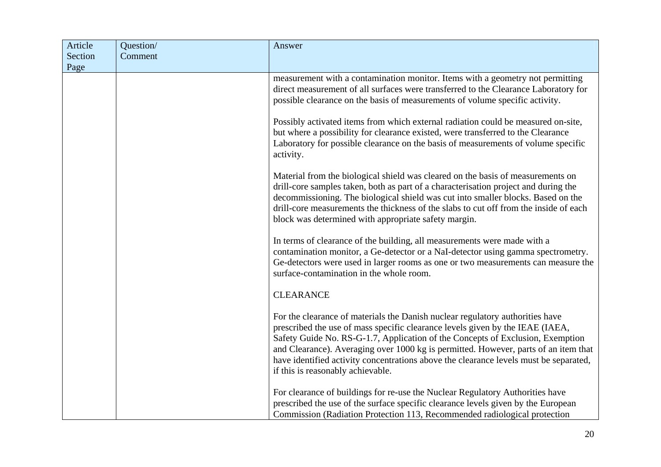| Article | Question/ | Answer                                                                                                                                                                                                                                                                                                                                                                                                                                                                |
|---------|-----------|-----------------------------------------------------------------------------------------------------------------------------------------------------------------------------------------------------------------------------------------------------------------------------------------------------------------------------------------------------------------------------------------------------------------------------------------------------------------------|
| Section | Comment   |                                                                                                                                                                                                                                                                                                                                                                                                                                                                       |
| Page    |           |                                                                                                                                                                                                                                                                                                                                                                                                                                                                       |
|         |           | measurement with a contamination monitor. Items with a geometry not permitting<br>direct measurement of all surfaces were transferred to the Clearance Laboratory for<br>possible clearance on the basis of measurements of volume specific activity.                                                                                                                                                                                                                 |
|         |           | Possibly activated items from which external radiation could be measured on-site,<br>but where a possibility for clearance existed, were transferred to the Clearance<br>Laboratory for possible clearance on the basis of measurements of volume specific<br>activity.                                                                                                                                                                                               |
|         |           | Material from the biological shield was cleared on the basis of measurements on<br>drill-core samples taken, both as part of a characterisation project and during the<br>decommissioning. The biological shield was cut into smaller blocks. Based on the<br>drill-core measurements the thickness of the slabs to cut off from the inside of each<br>block was determined with appropriate safety margin.                                                           |
|         |           | In terms of clearance of the building, all measurements were made with a<br>contamination monitor, a Ge-detector or a NaI-detector using gamma spectrometry.<br>Ge-detectors were used in larger rooms as one or two measurements can measure the<br>surface-contamination in the whole room.                                                                                                                                                                         |
|         |           | <b>CLEARANCE</b>                                                                                                                                                                                                                                                                                                                                                                                                                                                      |
|         |           | For the clearance of materials the Danish nuclear regulatory authorities have<br>prescribed the use of mass specific clearance levels given by the IEAE (IAEA,<br>Safety Guide No. RS-G-1.7, Application of the Concepts of Exclusion, Exemption<br>and Clearance). Averaging over 1000 kg is permitted. However, parts of an item that<br>have identified activity concentrations above the clearance levels must be separated,<br>if this is reasonably achievable. |
|         |           | For clearance of buildings for re-use the Nuclear Regulatory Authorities have<br>prescribed the use of the surface specific clearance levels given by the European<br>Commission (Radiation Protection 113, Recommended radiological protection                                                                                                                                                                                                                       |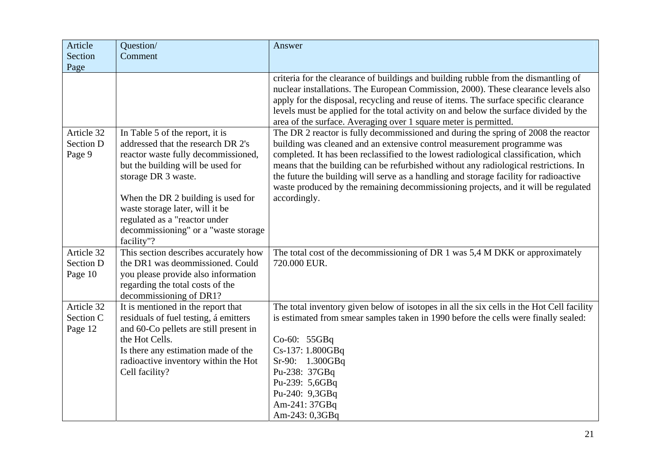| Article                            | Question/                                                                                                                                                                       | Answer                                                                                                                                                                                                                                                                                                                                                                                                                                 |
|------------------------------------|---------------------------------------------------------------------------------------------------------------------------------------------------------------------------------|----------------------------------------------------------------------------------------------------------------------------------------------------------------------------------------------------------------------------------------------------------------------------------------------------------------------------------------------------------------------------------------------------------------------------------------|
| Section                            | Comment                                                                                                                                                                         |                                                                                                                                                                                                                                                                                                                                                                                                                                        |
| Page                               |                                                                                                                                                                                 |                                                                                                                                                                                                                                                                                                                                                                                                                                        |
|                                    |                                                                                                                                                                                 | criteria for the clearance of buildings and building rubble from the dismantling of<br>nuclear installations. The European Commission, 2000). These clearance levels also<br>apply for the disposal, recycling and reuse of items. The surface specific clearance<br>levels must be applied for the total activity on and below the surface divided by the<br>area of the surface. Averaging over 1 square meter is permitted.         |
| Article 32                         | In Table 5 of the report, it is                                                                                                                                                 | The DR 2 reactor is fully decommissioned and during the spring of 2008 the reactor                                                                                                                                                                                                                                                                                                                                                     |
| Section D<br>Page 9                | addressed that the research DR 2's<br>reactor waste fully decommissioned,<br>but the building will be used for<br>storage DR 3 waste.                                           | building was cleaned and an extensive control measurement programme was<br>completed. It has been reclassified to the lowest radiological classification, which<br>means that the building can be refurbished without any radiological restrictions. In<br>the future the building will serve as a handling and storage facility for radioactive<br>waste produced by the remaining decommissioning projects, and it will be regulated |
|                                    | When the DR 2 building is used for<br>waste storage later, will it be<br>regulated as a "reactor under<br>decommissioning" or a "waste storage"<br>facility"?                   | accordingly.                                                                                                                                                                                                                                                                                                                                                                                                                           |
| Article 32<br>Section D<br>Page 10 | This section describes accurately how<br>the DR1 was deommissioned. Could<br>you please provide also information<br>regarding the total costs of the<br>decommissioning of DR1? | The total cost of the decommissioning of DR 1 was 5,4 M DKK or approximately<br>720.000 EUR.                                                                                                                                                                                                                                                                                                                                           |
| Article 32                         | It is mentioned in the report that                                                                                                                                              | The total inventory given below of isotopes in all the six cells in the Hot Cell facility                                                                                                                                                                                                                                                                                                                                              |
| Section C                          | residuals of fuel testing, á emitters                                                                                                                                           | is estimated from smear samples taken in 1990 before the cells were finally sealed:                                                                                                                                                                                                                                                                                                                                                    |
| Page 12                            | and 60-Co pellets are still present in                                                                                                                                          |                                                                                                                                                                                                                                                                                                                                                                                                                                        |
|                                    | the Hot Cells.                                                                                                                                                                  | Co-60: 55GBq                                                                                                                                                                                                                                                                                                                                                                                                                           |
|                                    | Is there any estimation made of the                                                                                                                                             | Cs-137: 1.800GBq                                                                                                                                                                                                                                                                                                                                                                                                                       |
|                                    | radioactive inventory within the Hot                                                                                                                                            | $Sr-90: 1.300GBq$                                                                                                                                                                                                                                                                                                                                                                                                                      |
|                                    | Cell facility?                                                                                                                                                                  | Pu-238: 37GBq                                                                                                                                                                                                                                                                                                                                                                                                                          |
|                                    |                                                                                                                                                                                 | Pu-239: 5,6GBq                                                                                                                                                                                                                                                                                                                                                                                                                         |
|                                    |                                                                                                                                                                                 | Pu-240: 9,3GBq<br>Am-241: 37GBq                                                                                                                                                                                                                                                                                                                                                                                                        |
|                                    |                                                                                                                                                                                 | Am-243: 0,3GBq                                                                                                                                                                                                                                                                                                                                                                                                                         |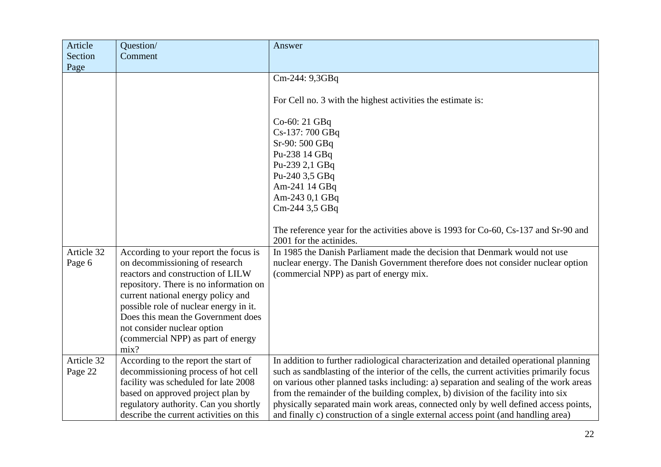| Article    | Question/                               | Answer                                                                                                         |
|------------|-----------------------------------------|----------------------------------------------------------------------------------------------------------------|
| Section    | Comment                                 |                                                                                                                |
| Page       |                                         |                                                                                                                |
|            |                                         | Cm-244: 9,3GBq                                                                                                 |
|            |                                         |                                                                                                                |
|            |                                         | For Cell no. 3 with the highest activities the estimate is:                                                    |
|            |                                         |                                                                                                                |
|            |                                         | Co-60: 21 GBq                                                                                                  |
|            |                                         | Cs-137: 700 GBq                                                                                                |
|            |                                         | Sr-90: 500 GBq                                                                                                 |
|            |                                         | Pu-238 14 GBq                                                                                                  |
|            |                                         | Pu-239 2,1 GBq                                                                                                 |
|            |                                         | Pu-240 3,5 GBq                                                                                                 |
|            |                                         | Am-241 14 GBq                                                                                                  |
|            |                                         | Am-243 0,1 GBq                                                                                                 |
|            |                                         | Cm-244 3,5 GBq                                                                                                 |
|            |                                         |                                                                                                                |
|            |                                         | The reference year for the activities above is 1993 for Co-60, Cs-137 and Sr-90 and<br>2001 for the actinides. |
| Article 32 | According to your report the focus is   | In 1985 the Danish Parliament made the decision that Denmark would not use                                     |
| Page 6     | on decommissioning of research          | nuclear energy. The Danish Government therefore does not consider nuclear option                               |
|            | reactors and construction of LILW       | (commercial NPP) as part of energy mix.                                                                        |
|            | repository. There is no information on  |                                                                                                                |
|            | current national energy policy and      |                                                                                                                |
|            | possible role of nuclear energy in it.  |                                                                                                                |
|            | Does this mean the Government does      |                                                                                                                |
|            | not consider nuclear option             |                                                                                                                |
|            | (commercial NPP) as part of energy      |                                                                                                                |
|            | mix?                                    |                                                                                                                |
| Article 32 | According to the report the start of    | In addition to further radiological characterization and detailed operational planning                         |
| Page 22    | decommissioning process of hot cell     | such as sandblasting of the interior of the cells, the current activities primarily focus                      |
|            | facility was scheduled for late 2008    | on various other planned tasks including: a) separation and sealing of the work areas                          |
|            | based on approved project plan by       | from the remainder of the building complex, b) division of the facility into six                               |
|            | regulatory authority. Can you shortly   | physically separated main work areas, connected only by well defined access points,                            |
|            | describe the current activities on this | and finally c) construction of a single external access point (and handling area)                              |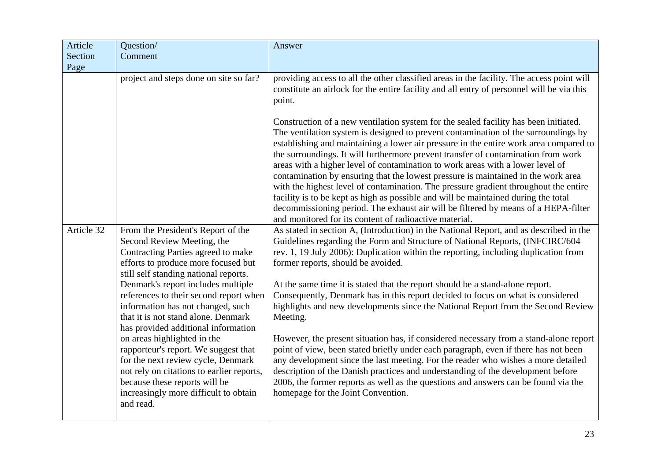| Article    | Question/                                                                                                                                                                                                                                     | Answer                                                                                                                                                                                                                                                                                                                                                                                                                                                                                                                                                                                                                                                                                                                                                                                                                                                        |
|------------|-----------------------------------------------------------------------------------------------------------------------------------------------------------------------------------------------------------------------------------------------|---------------------------------------------------------------------------------------------------------------------------------------------------------------------------------------------------------------------------------------------------------------------------------------------------------------------------------------------------------------------------------------------------------------------------------------------------------------------------------------------------------------------------------------------------------------------------------------------------------------------------------------------------------------------------------------------------------------------------------------------------------------------------------------------------------------------------------------------------------------|
| Section    | Comment                                                                                                                                                                                                                                       |                                                                                                                                                                                                                                                                                                                                                                                                                                                                                                                                                                                                                                                                                                                                                                                                                                                               |
| Page       |                                                                                                                                                                                                                                               |                                                                                                                                                                                                                                                                                                                                                                                                                                                                                                                                                                                                                                                                                                                                                                                                                                                               |
|            | project and steps done on site so far?                                                                                                                                                                                                        | providing access to all the other classified areas in the facility. The access point will<br>constitute an airlock for the entire facility and all entry of personnel will be via this<br>point.                                                                                                                                                                                                                                                                                                                                                                                                                                                                                                                                                                                                                                                              |
|            |                                                                                                                                                                                                                                               | Construction of a new ventilation system for the sealed facility has been initiated.<br>The ventilation system is designed to prevent contamination of the surroundings by<br>establishing and maintaining a lower air pressure in the entire work area compared to<br>the surroundings. It will furthermore prevent transfer of contamination from work<br>areas with a higher level of contamination to work areas with a lower level of<br>contamination by ensuring that the lowest pressure is maintained in the work area<br>with the highest level of contamination. The pressure gradient throughout the entire<br>facility is to be kept as high as possible and will be maintained during the total<br>decommissioning period. The exhaust air will be filtered by means of a HEPA-filter<br>and monitored for its content of radioactive material. |
| Article 32 | From the President's Report of the                                                                                                                                                                                                            | As stated in section A, (Introduction) in the National Report, and as described in the                                                                                                                                                                                                                                                                                                                                                                                                                                                                                                                                                                                                                                                                                                                                                                        |
|            | Second Review Meeting, the<br>Contracting Parties agreed to make<br>efforts to produce more focused but<br>still self standing national reports.                                                                                              | Guidelines regarding the Form and Structure of National Reports, (INFCIRC/604<br>rev. 1, 19 July 2006): Duplication within the reporting, including duplication from<br>former reports, should be avoided.                                                                                                                                                                                                                                                                                                                                                                                                                                                                                                                                                                                                                                                    |
|            | Denmark's report includes multiple<br>references to their second report when<br>information has not changed, such<br>that it is not stand alone. Denmark<br>has provided additional information                                               | At the same time it is stated that the report should be a stand-alone report.<br>Consequently, Denmark has in this report decided to focus on what is considered<br>highlights and new developments since the National Report from the Second Review<br>Meeting.                                                                                                                                                                                                                                                                                                                                                                                                                                                                                                                                                                                              |
|            | on areas highlighted in the<br>rapporteur's report. We suggest that<br>for the next review cycle, Denmark<br>not rely on citations to earlier reports,<br>because these reports will be<br>increasingly more difficult to obtain<br>and read. | However, the present situation has, if considered necessary from a stand-alone report<br>point of view, been stated briefly under each paragraph, even if there has not been<br>any development since the last meeting. For the reader who wishes a more detailed<br>description of the Danish practices and understanding of the development before<br>2006, the former reports as well as the questions and answers can be found via the<br>homepage for the Joint Convention.                                                                                                                                                                                                                                                                                                                                                                              |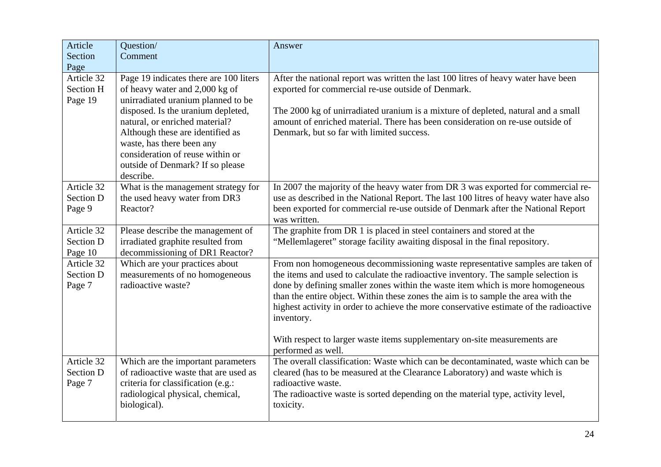| Article<br>Section<br>Page                | Question/<br>Comment                                                                                                                                                                                                                                                                                                                         | Answer                                                                                                                                                                                                                                                                                                                                                                                                                                              |
|-------------------------------------------|----------------------------------------------------------------------------------------------------------------------------------------------------------------------------------------------------------------------------------------------------------------------------------------------------------------------------------------------|-----------------------------------------------------------------------------------------------------------------------------------------------------------------------------------------------------------------------------------------------------------------------------------------------------------------------------------------------------------------------------------------------------------------------------------------------------|
| Article 32<br>Section H<br>Page 19        | Page 19 indicates there are 100 liters<br>of heavy water and 2,000 kg of<br>unirradiated uranium planned to be<br>disposed. Is the uranium depleted,<br>natural, or enriched material?<br>Although these are identified as<br>waste, has there been any<br>consideration of reuse within or<br>outside of Denmark? If so please<br>describe. | After the national report was written the last 100 litres of heavy water have been<br>exported for commercial re-use outside of Denmark.<br>The 2000 kg of unirradiated uranium is a mixture of depleted, natural and a small<br>amount of enriched material. There has been consideration on re-use outside of<br>Denmark, but so far with limited success.                                                                                        |
| Article 32<br>Section D<br>Page 9         | What is the management strategy for<br>the used heavy water from DR3<br>Reactor?                                                                                                                                                                                                                                                             | In 2007 the majority of the heavy water from DR 3 was exported for commercial re-<br>use as described in the National Report. The last 100 litres of heavy water have also<br>been exported for commercial re-use outside of Denmark after the National Report<br>was written.                                                                                                                                                                      |
| Article 32<br><b>Section D</b><br>Page 10 | Please describe the management of<br>irradiated graphite resulted from<br>decommissioning of DR1 Reactor?                                                                                                                                                                                                                                    | The graphite from DR 1 is placed in steel containers and stored at the<br>"Mellemlageret" storage facility awaiting disposal in the final repository.                                                                                                                                                                                                                                                                                               |
| Article 32<br>Section D<br>Page 7         | Which are your practices about<br>measurements of no homogeneous<br>radioactive waste?                                                                                                                                                                                                                                                       | From non homogeneous decommissioning waste representative samples are taken of<br>the items and used to calculate the radioactive inventory. The sample selection is<br>done by defining smaller zones within the waste item which is more homogeneous<br>than the entire object. Within these zones the aim is to sample the area with the<br>highest activity in order to achieve the more conservative estimate of the radioactive<br>inventory. |
|                                           |                                                                                                                                                                                                                                                                                                                                              | With respect to larger waste items supplementary on-site measurements are<br>performed as well.                                                                                                                                                                                                                                                                                                                                                     |
| Article 32<br><b>Section D</b><br>Page 7  | Which are the important parameters<br>of radioactive waste that are used as<br>criteria for classification (e.g.:<br>radiological physical, chemical,<br>biological).                                                                                                                                                                        | The overall classification: Waste which can be decontaminated, waste which can be<br>cleared (has to be measured at the Clearance Laboratory) and waste which is<br>radioactive waste.<br>The radioactive waste is sorted depending on the material type, activity level,<br>toxicity.                                                                                                                                                              |